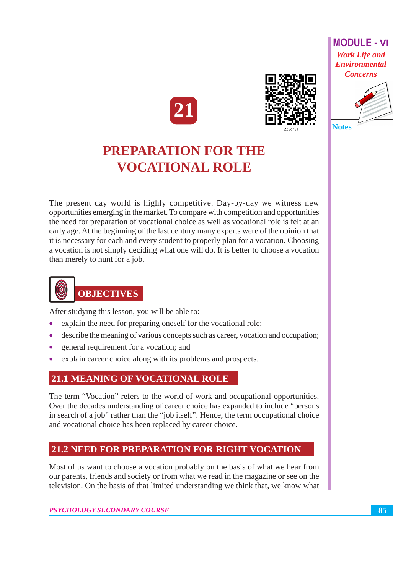



# **PREPARATION FOR THE VOCATIONAL ROLE**

The present day world is highly competitive. Day-by-day we witness new opportunities emerging in the market. To compare with competition and opportunities the need for preparation of vocational choice as well as vocational role is felt at an early age. At the beginning of the last century many experts were of the opinion that it is necessary for each and every student to properly plan for a vocation. Choosing a vocation is not simply deciding what one will do. It is better to choose a vocation than merely to hunt for a job.



After studying this lesson, you will be able to:

- explain the need for preparing oneself for the vocational role;
- describe the meaning of various concepts such as career, vocation and occupation;
- general requirement for a vocation; and
- explain career choice along with its problems and prospects.

### **21.1 MEANING OF VOCATIONAL ROLE**

The term "Vocation" refers to the world of work and occupational opportunities. Over the decades understanding of career choice has expanded to include "persons" in search of a job" rather than the "job itself". Hence, the term occupational choice and vocational choice has been replaced by career choice.

#### **21.2 NEED FOR PREPARATION FOR RIGHT VOCATION**

Most of us want to choose a vocation probably on the basis of what we hear from our parents, friends and society or from what we read in the magazine or see on the television. On the basis of that limited understanding we think that, we know what

PSYCHOLOGY SECONDARY COURSE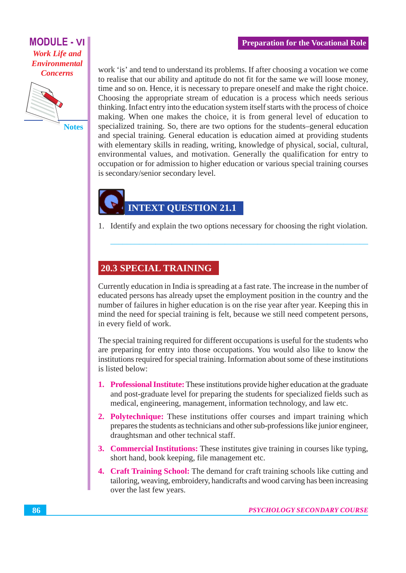

**Notes** 

work 'is' and tend to understand its problems. If after choosing a vocation we come to realise that our ability and aptitude do not fit for the same we will loose money, time and so on. Hence, it is necessary to prepare oneself and make the right choice. Choosing the appropriate stream of education is a process which needs serious thinking. Infact entry into the education system itself starts with the process of choice making. When one makes the choice, it is from general level of education to specialized training. So, there are two options for the students–general education and special training. General education is education aimed at providing students with elementary skills in reading, writing, knowledge of physical, social, cultural, environmental values, and motivation. Generally the qualification for entry to occupation or for admission to higher education or various special training courses is secondary/senior secondary level.

**Preparation for the Vocational Role** 

# **INTEXT QUESTION 21.1**

1. Identify and explain the two options necessary for choosing the right violation.

#### **20.3 SPECIAL TRAINING**

Currently education in India is spreading at a fast rate. The increase in the number of educated persons has already upset the employment position in the country and the number of failures in higher education is on the rise year after year. Keeping this in mind the need for special training is felt, because we still need competent persons, in every field of work.

The special training required for different occupations is useful for the students who are preparing for entry into those occupations. You would also like to know the institutions required for special training. Information about some of these institutions is listed below:

- 1. Professional Institute: These institutions provide higher education at the graduate and post-graduate level for preparing the students for specialized fields such as medical, engineering, management, information technology, and law etc.
- **2. Polytechnique:** These institutions offer courses and impart training which prepares the students as technicians and other sub-professions like junior engineer, draughtsman and other technical staff.
- **3. Commercial Institutions:** These institutes give training in courses like typing, short hand, book keeping, file management etc.
- **4. Craft Training School:** The demand for craft training schools like cutting and tailoring, weaving, embroidery, handicrafts and wood carving has been increasing over the last few years.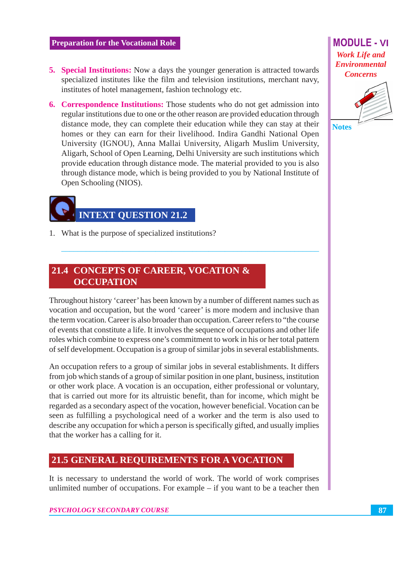- **5. Special Institutions:** Now a days the younger generation is attracted towards specialized institutes like the film and television institutions, merchant navy, institutes of hotel management, fashion technology etc.
- **6. Correspondence Institutions:** Those students who do not get admission into regular institutions due to one or the other reason are provided education through distance mode, they can complete their education while they can stay at their homes or they can earn for their livelihood. Indira Gandhi National Open University (IGNOU), Anna Mallai University, Aligarh Muslim University, Aligarh, School of Open Learning, Delhi University are such institutions which provide education through distance mode. The material provided to you is also through distance mode, which is being provided to you by National Institute of Open Schooling (NIOS).



1. What is the purpose of specialized institutions?

#### 21.4 CONCEPTS OF CAREER, VOCATION & **OCCUPATION**

Throughout history 'career' has been known by a number of different names such as vocation and occupation, but the word 'career' is more modern and inclusive than the term vocation. Career is also broader than occupation. Career refers to "the course" of events that constitute a life. It involves the sequence of occupations and other life roles which combine to express one's commitment to work in his or her total pattern of self development. Occupation is a group of similar jobs in several establishments.

An occupation refers to a group of similar jobs in several establishments. It differs from job which stands of a group of similar position in one plant, business, institution or other work place. A vocation is an occupation, either professional or voluntary, that is carried out more for its altruistic benefit, than for income, which might be regarded as a secondary aspect of the vocation, however beneficial. Vocation can be seen as fulfilling a psychological need of a worker and the term is also used to describe any occupation for which a person is specifically gifted, and usually implies that the worker has a calling for it.

#### **21.5 GENERAL REQUIREMENTS FOR A VOCATION**

It is necessary to understand the world of work. The world of work comprises unlimited number of occupations. For example  $-$  if you want to be a teacher then

**PSYCHOLOGY SECONDARY COURSE** 

#### **MODULE - VI Work Life and Environmental Concerns**



**Notes**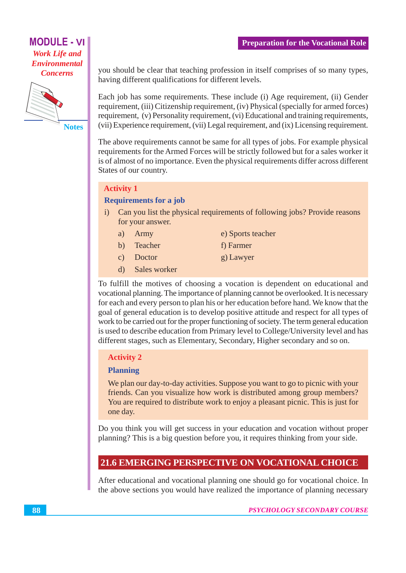#### **MODULE - VI Work Life and Environmental Concerns**



**Notes** 

you should be clear that teaching profession in itself comprises of so many types, having different qualifications for different levels.

Each job has some requirements. These include (i) Age requirement, (ii) Gender requirement, (iii) Citizenship requirement, (iv) Physical (specially for armed forces) requirement, (v) Personality requirement, (vi) Educational and training requirements, (vii) Experience requirement, (vii) Legal requirement, and (ix) Licensing requirement.

The above requirements cannot be same for all types of jobs. For example physical requirements for the Armed Forces will be strictly followed but for a sales worker it is of almost of no importance. Even the physical requirements differ across different States of our country.

#### **Activity 1**

#### **Requirements for a job**

- i) Can you list the physical requirements of following jobs? Provide reasons for your answer.
	- $a)$ Army
- e) Sports teacher f) Farmer
- $b)$ Teacher
- $c)$ Doctor g) Lawyer
- Sales worker  $\mathbf{d}$

To fulfill the motives of choosing a vocation is dependent on educational and vocational planning. The importance of planning cannot be overlooked. It is necessary for each and every person to plan his or her education before hand. We know that the goal of general education is to develop positive attitude and respect for all types of work to be carried out for the proper functioning of society. The term general education is used to describe education from Primary level to College/University level and has different stages, such as Elementary, Secondary, Higher secondary and so on.

#### **Activity 2**

#### **Planning**

We plan our day-to-day activities. Suppose you want to go to picnic with your friends. Can you visualize how work is distributed among group members? You are required to distribute work to enjoy a pleasant picnic. This is just for one day.

Do you think you will get success in your education and vocation without proper planning? This is a big question before you, it requires thinking from your side.

#### **21.6 EMERGING PERSPECTIVE ON VOCATIONAL CHOICE**

After educational and vocational planning one should go for vocational choice. In the above sections you would have realized the importance of planning necessary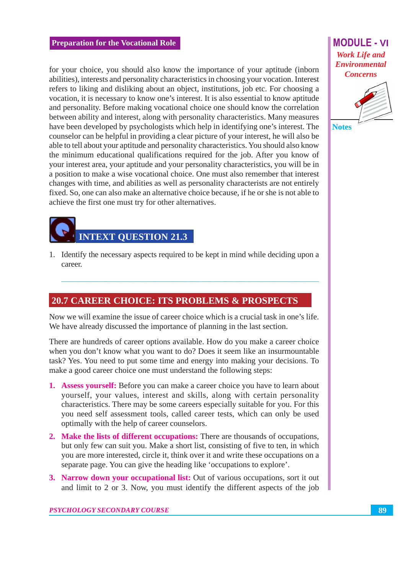for your choice, you should also know the importance of your aptitude (inborn abilities), interests and personality characteristics in choosing your vocation. Interest refers to liking and disliking about an object, institutions, job etc. For choosing a vocation, it is necessary to know one's interest. It is also essential to know aptitude and personality. Before making vocational choice one should know the correlation between ability and interest, along with personality characteristics. Many measures have been developed by psychologists which help in identifying one's interest. The counselor can be helpful in providing a clear picture of your interest, he will also be able to tell about your aptitude and personality characteristics. You should also know the minimum educational qualifications required for the job. After you know of your interest area, your aptitude and your personality characteristics, you will be in a position to make a wise vocational choice. One must also remember that interest changes with time, and abilities as well as personality characterists are not entirely fixed. So, one can also make an alternative choice because, if he or she is not able to achieve the first one must try for other alternatives.

# **INTEXT OUESTION 21.3**

1. Identify the necessary aspects required to be kept in mind while deciding upon a career.

#### 20.7 CAREER CHOICE: ITS PROBLEMS & PROSPECTS

Now we will examine the issue of career choice which is a crucial task in one's life. We have already discussed the importance of planning in the last section.

There are hundreds of career options available. How do you make a career choice when you don't know what you want to do? Does it seem like an insurmountable task? Yes. You need to put some time and energy into making your decisions. To make a good career choice one must understand the following steps:

- **1.** Assess vourself: Before you can make a career choice you have to learn about yourself, your values, interest and skills, along with certain personality characteristics. There may be some careers especially suitable for you. For this you need self assessment tools, called career tests, which can only be used optimally with the help of career counselors.
- 2. Make the lists of different occupations: There are thousands of occupations. but only few can suit you. Make a short list, consisting of five to ten, in which you are more interested, circle it, think over it and write these occupations on a separate page. You can give the heading like 'occupations to explore'.
- **3. Narrow down your occupational list:** Out of various occupations, sort it out and limit to 2 or 3. Now, you must identify the different aspects of the job

#### PSYCHOLOGY SECONDARY COURSE

#### **MODULE - VI Work Life and Environmental Concerns**

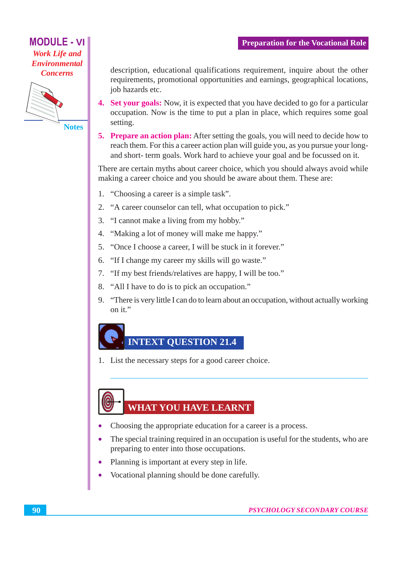

**Notes** 

description, educational qualifications requirement, inquire about the other requirements, promotional opportunities and earnings, geographical locations, job hazards etc.

- **4.** Set your goals: Now, it is expected that you have decided to go for a particular occupation. Now is the time to put a plan in place, which requires some goal setting.
- 5. Prepare an action plan: After setting the goals, you will need to decide how to reach them. For this a career action plan will guide you, as you pursue your longand short- term goals. Work hard to achieve your goal and be focussed on it.

There are certain myths about career choice, which you should always avoid while making a career choice and you should be aware about them. These are:

- $1<sub>1</sub>$ "Choosing a career is a simple task".
- 2. "A career counselor can tell, what occupation to pick."
- 3. "I cannot make a living from my hobby."
- 4. "Making a lot of money will make me happy."
- 5. "Once I choose a career. I will be stuck in it forever."
- 6. "If I change my career my skills will go waste."
- 7. "If my best friends/relatives are happy, I will be too."
- 8. "All I have to do is to pick an occupation."
- 9. "There is very little I can do to learn about an occupation, without actually working on it."

### **INTEXT OUESTION 21.4**

1. List the necessary steps for a good career choice.

## **WHAT YOU HAVE LEARNT**

- Choosing the appropriate education for a career is a process.
- The special training required in an occupation is useful for the students, who are  $\bullet$ preparing to enter into those occupations.
- Planning is important at every step in life.  $\bullet$
- Vocational planning should be done carefully.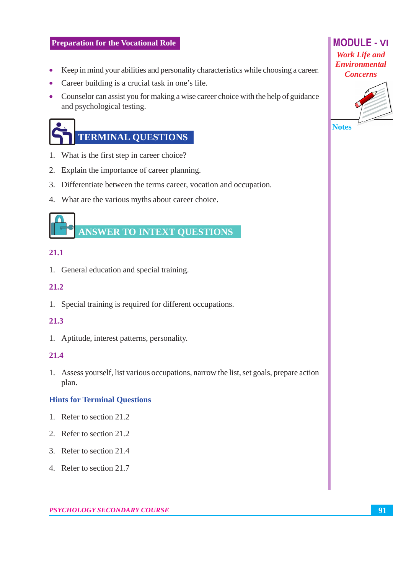- Keep in mind your abilities and personality characteristics while choosing a career.  $\bullet$
- Career building is a crucial task in one's life.
- Counselor can assist you for making a wise career choice with the help of guidance and psychological testing.

# **TERMINAL QUESTIONS**

- 1. What is the first step in career choice?
- 2. Explain the importance of career planning.
- 3. Differentiate between the terms career, vocation and occupation.
- 4. What are the various myths about career choice.



#### $21.1$

1. General education and special training.

#### 21.2

1. Special training is required for different occupations.

#### 21.3

1. Aptitude, interest patterns, personality.

#### 21.4

1. Assess yourself, list various occupations, narrow the list, set goals, prepare action plan.

#### **Hints for Terminal Ouestions**

- 1. Refer to section 21.2.
- 2. Refer to section 21.2
- 3. Refer to section 21.4
- 4. Refer to section 21.7

#### **MODULE - VI Work Life and Environmental Concerns**



#### **Notes**

**PSYCHOLOGY SECONDARY COURSE**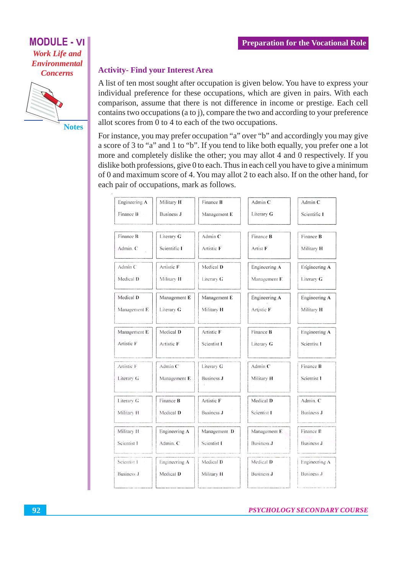

**Notes** 

#### **Activity-Find your Interest Area**

A list of ten most sought after occupation is given below. You have to express your individual preference for these occupations, which are given in pairs. With each comparison, assume that there is not difference in income or prestige. Each cell contains two occupations (a to j), compare the two and according to your preference allot scores from 0 to 4 to each of the two occupations.

For instance, you may prefer occupation "a" over "b" and accordingly you may give a score of 3 to "a" and 1 to "b". If you tend to like both equally, you prefer one a lot more and completely dislike the other; you may allot 4 and 0 respectively. If you dislike both professions, give 0 to each. Thus in each cell you have to give a minimum of 0 and maximum score of 4. You may allot 2 to each also. If on the other hand, for each pair of occupations, mark as follows.

| Engineering A | Military H       | Finance B    | Admin C          | Admin C                  |
|---------------|------------------|--------------|------------------|--------------------------|
| Finance B     | Business J       | Management E | Literary G       | Scientific I             |
| Finance B     | Literary G       | Admin $C$    | Finance <b>B</b> | Finance <b>B</b>         |
|               |                  |              |                  |                          |
| Admin. C      | Scientific I     | Artistic F   | Artist F         | Military H               |
| Admin C       | Artistic F       | Medical D    | Engineering A    | Engineering A            |
| Medical D     | Military H       | Literary G   | Management E     | Literary G               |
| Medical D     | Management E     | Management E | Engineering A    | Engineering A            |
| Management E  | Literary G       | Military H   | Artistic F       | Military H               |
|               |                  |              |                  |                          |
| Management E  | Medical D        | Artistic F   | Finance <b>B</b> | Engineering A            |
| Artistic F    | Artistic F       | Scientist I  | Literary G       | Scientist I              |
| Artistic F    | Admin C          | Literary G   | Admin C          | Finance B                |
| Literary G    | Management E     | Business J   | Military H       | Scientist I <sup>-</sup> |
|               |                  |              |                  |                          |
| Literary G    | Finance <b>B</b> | Artistic F   | Medical D        | Admin. C                 |
| Military H    | Medical D        | Business J   | Scientist I      | Business J               |
| Military H    | Engineering A    | Management D | Management E     | Finance B                |
| Scientist I   | Admin. C         | Scientist I  | Business J       | Business J               |
| Scientist 1   | Engineering A    | Medical D    | Medical D        | Engineering A            |
| Business J    | Medical D        | Military H   | Business J       | Business J               |
|               |                  |              |                  |                          |

#### **PSYCHOLOGY SECONDARY COURSE**